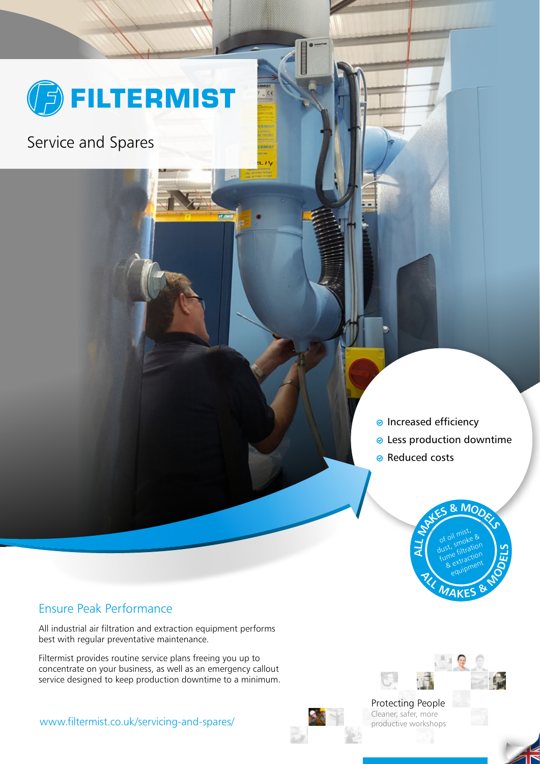

mwin e 7

**IF JWE** 

Service and Spares

- **e** Increased efficiency
- Less production downtime
- **Reduced costs**

Protecting People Cleaner, safer, more productive workshops



### Ensure Peak Performance

All industrial air filtration and extraction equipment performs best with regular preventative maintenance.

Filtermist provides routine service plans freeing you up to concentrate on your business, as well as an emergency callout service designed to keep production downtime to a minimum.

www.filtermist.co.uk/servicing-and-spares/